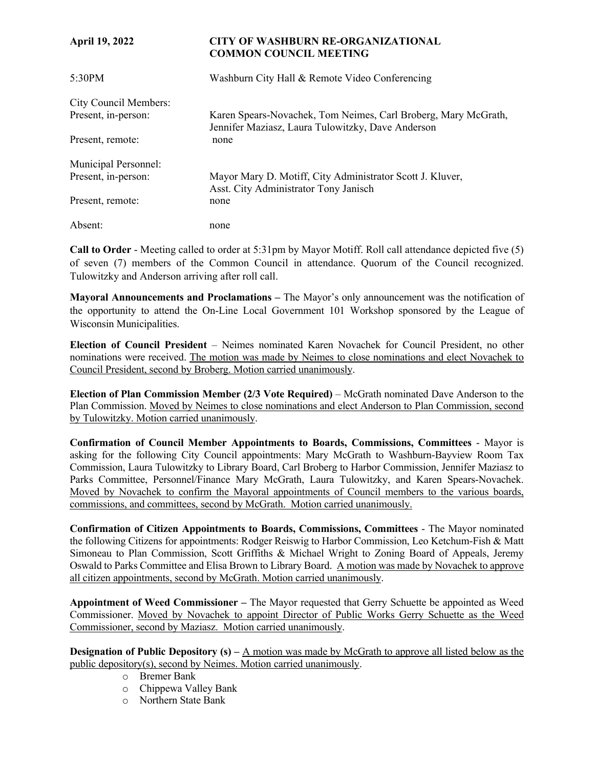| <b>April 19, 2022</b> | <b>CITY OF WASHBURN RE-ORGANIZATIONAL</b><br><b>COMMON COUNCIL MEETING</b>                                          |
|-----------------------|---------------------------------------------------------------------------------------------------------------------|
| 5:30PM                | Washburn City Hall & Remote Video Conferencing                                                                      |
| City Council Members: |                                                                                                                     |
| Present, in-person:   | Karen Spears-Novachek, Tom Neimes, Carl Broberg, Mary McGrath,<br>Jennifer Maziasz, Laura Tulowitzky, Dave Anderson |
| Present, remote:      | none                                                                                                                |
| Municipal Personnel:  |                                                                                                                     |
| Present, in-person:   | Mayor Mary D. Motiff, City Administrator Scott J. Kluver,<br>Asst. City Administrator Tony Janisch                  |
| Present, remote:      | none                                                                                                                |
| Absent:               | none                                                                                                                |

**Call to Order** - Meeting called to order at 5:31pm by Mayor Motiff. Roll call attendance depicted five (5) of seven (7) members of the Common Council in attendance. Quorum of the Council recognized. Tulowitzky and Anderson arriving after roll call.

**Mayoral Announcements and Proclamations –** The Mayor's only announcement was the notification of the opportunity to attend the On-Line Local Government 101 Workshop sponsored by the League of Wisconsin Municipalities.

**Election of Council President** – Neimes nominated Karen Novachek for Council President, no other nominations were received. The motion was made by Neimes to close nominations and elect Novachek to Council President, second by Broberg. Motion carried unanimously.

**Election of Plan Commission Member (2/3 Vote Required)** – McGrath nominated Dave Anderson to the Plan Commission. Moved by Neimes to close nominations and elect Anderson to Plan Commission, second by Tulowitzky. Motion carried unanimously.

**Confirmation of Council Member Appointments to Boards, Commissions, Committees** - Mayor is asking for the following City Council appointments: Mary McGrath to Washburn-Bayview Room Tax Commission, Laura Tulowitzky to Library Board, Carl Broberg to Harbor Commission, Jennifer Maziasz to Parks Committee, Personnel/Finance Mary McGrath, Laura Tulowitzky, and Karen Spears-Novachek. Moved by Novachek to confirm the Mayoral appointments of Council members to the various boards, commissions, and committees, second by McGrath. Motion carried unanimously.

**Confirmation of Citizen Appointments to Boards, Commissions, Committees** - The Mayor nominated the following Citizens for appointments: Rodger Reiswig to Harbor Commission, Leo Ketchum-Fish & Matt Simoneau to Plan Commission, Scott Griffiths & Michael Wright to Zoning Board of Appeals, Jeremy Oswald to Parks Committee and Elisa Brown to Library Board. A motion was made by Novachek to approve all citizen appointments, second by McGrath. Motion carried unanimously.

**Appointment of Weed Commissioner –** The Mayor requested that Gerry Schuette be appointed as Weed Commissioner. Moved by Novachek to appoint Director of Public Works Gerry Schuette as the Weed Commissioner, second by Maziasz. Motion carried unanimously.

**Designation of Public Depository (s) – A motion was made by McGrath to approve all listed below as the** public depository(s), second by Neimes. Motion carried unanimously.

- o Bremer Bank
- o Chippewa Valley Bank
- o Northern State Bank